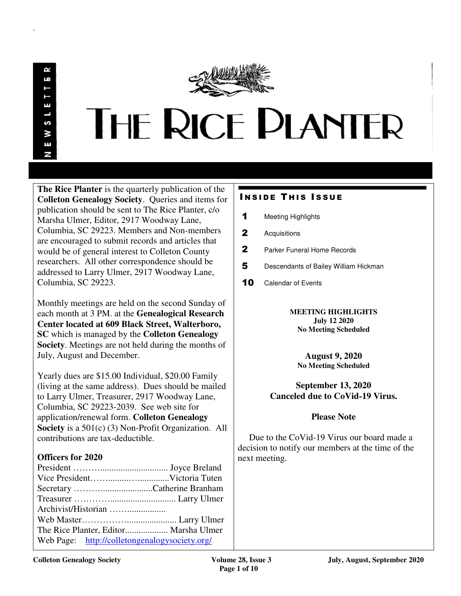.

# **THE RICE PLANTER**

**The Rice Planter** is the quarterly publication of the **Colleton Genealogy Society**. Queries and items for publication should be sent to The Rice Planter, c/o Marsha Ulmer, Editor, 2917 Woodway Lane, Columbia, SC 29223. Members and Non-members are encouraged to submit records and articles that would be of general interest to Colleton County researchers. All other correspondence should be addressed to Larry Ulmer, 2917 Woodway Lane, Columbia, SC 29223.

Monthly meetings are held on the second Sunday of each month at 3 PM. at the **Genealogical Research Center located at 609 Black Street, Walterboro, SC** which is managed by the **Colleton Genealogy Society**. Meetings are not held during the months of July, August and December.

Yearly dues are \$15.00 Individual, \$20.00 Family (living at the same address). Dues should be mailed to Larry Ulmer, Treasurer, 2917 Woodway Lane, Columbia, SC 29223-2039. See web site for application/renewal form. **Colleton Genealogy Society** is a 501(c) (3) Non-Profit Organization. All contributions are tax-deductible.

# **Officers for 2020**

| Web Page: http://colletongenalogysociety.org/ |
|-----------------------------------------------|
|                                               |

# **INSIDE THIS ISSUE**

- 1 Meeting Highlights
- 2 Acquisitions
- 2 Parker Funeral Home Records
- 5 Descendants of Bailey William Hickman
- 10 Calendar of Events

**MEETING HIGHLIGHTS July 12 2020 No Meeting Scheduled** 

**August 9, 2020 No Meeting Scheduled**

# **September 13, 2020 Canceled due to CoVid-19 Virus.**

# **Please Note**

 Due to the CoVid-19 Virus our board made a decision to notify our members at the time of the next meeting.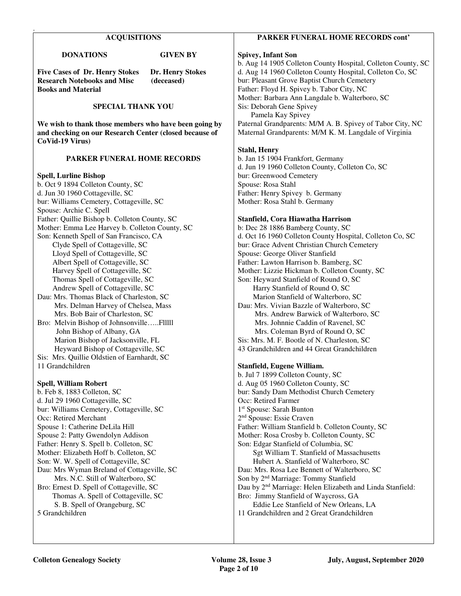#### **ACQUISITIONS**

 **DONATIONS GIVEN BY** 

.

**Five Cases of Dr. Henry Stokes Dr. Henry Stokes Research Notebooks and Misc (deceased) Books and Material** 

#### **SPECIAL THANK YOU**

**We wish to thank those members who have been going by and checking on our Research Center (closed because of CoVid-19 Virus)** 

#### **PARKER FUNERAL HOME RECORDS**

#### **Spell, Lurline Bishop**

b. Oct 9 1894 Colleton County, SC d. Jun 30 1960 Cottageville, SC bur: Williams Cemetery, Cottageville, SC Spouse: Archie C. Spell Father: Quillie Bishop b. Colleton County, SC Mother: Emma Lee Harvey b. Colleton County, SC Son: Kenneth Spell of San Francisco, CA Clyde Spell of Cottageville, SC Lloyd Spell of Cottageville, SC Albert Spell of Cottageville, SC Harvey Spell of Cottageville, SC Thomas Spell of Cottageville, SC Andrew Spell of Cottageville, SC Dau: Mrs. Thomas Black of Charleston, SC Mrs. Delman Harvey of Chelsea, Mass Mrs. Bob Bair of Charleston, SC Bro: Melvin Bishop of Johnsonville…..Flllll John Bishop of Albany, GA Marion Bishop of Jacksonville, FL Heyward Bishop of Cottageville, SC Sis: Mrs. Quillie Oldstien of Earnhardt, SC 11 Grandchildren

**Spell, William Robert**  b. Feb 8, 1883 Colleton, SC d. Jul 29 1960 Cottageville, SC bur: Williams Cemetery, Cottageville, SC Occ: Retired Merchant Spouse 1: Catherine DeLila Hill Spouse 2: Patty Gwendolyn Addison Father: Henry S. Spell b. Colleton, SC Mother: Elizabeth Hoff b. Colleton, SC Son: W. W. Spell of Cottageville, SC Dau: Mrs Wyman Breland of Cottageville, SC Mrs. N.C. Still of Walterboro, SC Bro: Ernest D. Spell of Cottageville, SC Thomas A. Spell of Cottageville, SC S. B. Spell of Orangeburg, SC 5 Grandchildren

#### **PARKER FUNERAL HOME RECORDS cont'**

#### **Spivey, Infant Son**

b. Aug 14 1905 Colleton County Hospital, Colleton County, SC d. Aug 14 1960 Colleton County Hospital, Colleton Co, SC bur: Pleasant Grove Baptist Church Cemetery Father: Floyd H. Spivey b. Tabor City, NC Mother: Barbara Ann Langdale b. Walterboro, SC Sis: Deborah Gene Spivey Pamela Kay Spivey Paternal Grandparents: M/M A. B. Spivey of Tabor City, NC Maternal Grandparents: M/M K. M. Langdale of Virginia

## **Stahl, Henry**

b. Jan 15 1904 Frankfort, Germany d. Jun 19 1960 Colleton County, Colleton Co, SC bur: Greenwood Cemetery Spouse: Rosa Stahl Father: Henry Spivey b. Germany Mother: Rosa Stahl b. Germany

#### **Stanfield, Cora Hiawatha Harrison**

b: Dec 28 1886 Bamberg County, SC d. Oct 16 1960 Colleton County Hospital, Colleton Co, SC bur: Grace Advent Christian Church Cemetery Spouse: George Oliver Stanfield Father: Lawton Harrison b. Bamberg, SC Mother: Lizzie Hickman b. Colleton County, SC Son: Heyward Stanfield of Round O, SC Harry Stanfield of Round O, SC Marion Stanfield of Walterboro, SC Dau: Mrs. Vivian Bazzle of Walterboro, SC Mrs. Andrew Barwick of Walterboro, SC Mrs. Johnnie Caddin of Ravenel, SC Mrs. Coleman Byrd of Round O, SC Sis: Mrs. M. F. Bootle of N. Charleston, SC 43 Grandchildren and 44 Great Grandchildren

#### **Stanfield, Eugene William.**

b. Jul 7 1899 Colleton County, SC d. Aug 05 1960 Colleton County, SC bur: Sandy Dam Methodist Church Cemetery Occ: Retired Farmer 1 st Spouse: Sarah Bunton 2 nd Spouse: Essie Craven Father: William Stanfield b. Colleton County, SC Mother: Rosa Crosby b. Colleton County, SC Son: Edgar Stanfield of Columbia, SC Sgt William T. Stanfield of Massachusetts Hubert A. Stanfield of Walterboro, SC Dau: Mrs. Rosa Lee Bennett of Walterboro, SC Son by 2<sup>nd</sup> Marriage: Tommy Stanfield Dau by 2nd Marriage: Helen Elizabeth and Linda Stanfield: Bro: Jimmy Stanfield of Waycross, GA Eddie Lee Stanfield of New Orleans, LA 11 Grandchildren and 2 Great Grandchildren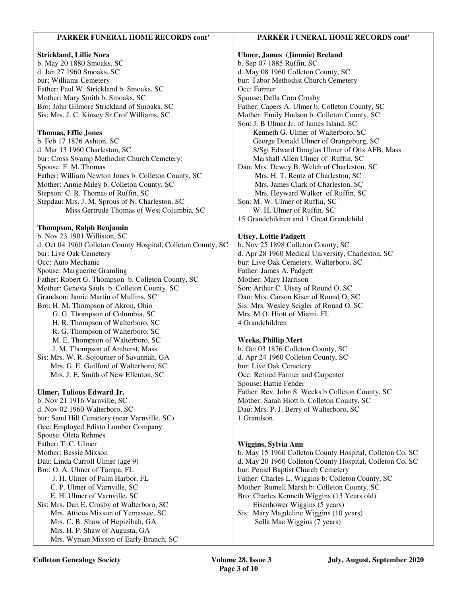| <b>PARKER FUNERAL HOME RECORDS cont'</b>                            | <b>PARKER FUNERAL HOME RECORDS cont'</b>                         |
|---------------------------------------------------------------------|------------------------------------------------------------------|
| <b>Strickland, Lillie Nora</b>                                      | Ulmer, James (Jimmie) Breland                                    |
| b. May 20 1880 Smoaks, SC                                           | b. Sep 07 1885 Ruffin, SC                                        |
| d. Jan 27 1960 Smoaks, SC                                           | d. May 08 1960 Colleton County, SC                               |
| bur; Williams Cemetery                                              | bur: Tabor Methodist Church Cemetery                             |
| Father: Paul W. Strickland b. Smoaks, SC                            | Occ: Farmer                                                      |
| Mother: Mary Smith b. Smoaks, SC                                    | Spouse: Della Cora Crosby                                        |
| Bro: John Gilmore Strickland of Smoaks, SC                          | Father: Capers A. Ulmer b. Colleton County, SC                   |
| Sis: Mrs. J. C. Kinsey Sr Crof Williams, SC                         | Mother: Emily Hudson b. Colleton County, SC                      |
|                                                                     | Son: J. B Ulmer Jr. of James Island, SC                          |
| <b>Thomas, Effie Jones</b>                                          | Kenneth G. Ulmer of Walterboro, SC                               |
| b. Feb 17 1876 Ashton, SC                                           | George Donald Ulmer of Orangeburg, SC                            |
| d. Mar 13 1960 Charleston, SC                                       | S/Sgt Edward Douglas Ulmer of Otis AFB, Mass                     |
| bur: Cross Swamp Methodist Church Cemetery:                         | Marshall Allen Ulmer of Ruffin, SC                               |
| Spouse: F. M. Thomas                                                | Dau: Mrs. Dewey B. Welch of Charleston, SC                       |
| Father: William Newton Jones b. Colleton County, SC                 | Mrs. H. T. Rentz of Charleston, SC                               |
| Mother: Annie Miley b. Colleton County, SC                          | Mrs. James Clark of Charleston, SC                               |
| Stepson: C. R. Thomas of Ruffin, SC                                 | Mrs. Heyward Walker of Ruffin, SC                                |
| Stepdau: Mrs. J. M. Sprous of N. Charleston, SC                     | Son: M. W. Ulmer of Ruffin, SC                                   |
| Miss Gertrude Thomas of West Columbia, SC                           | W. H, Ulmer of Ruffin, SC                                        |
|                                                                     | 15 Grandchildren and 1 Great Grandchild                          |
| <b>Thompson, Ralph Benjamin</b>                                     |                                                                  |
| b. Nov 23 1901 Williston, SC                                        | <b>Utsey, Lottie Padgett</b>                                     |
| d: Oct 04 1960 Colleton County Hospital, Colleton County, SC        | b. Nov 25 1898 Colleton County, SC                               |
| bur: Live Oak Cemetery                                              | d. Apr 28 1960 Medical University, Charleston, SC                |
| Occ: Auto Mechanic                                                  | bur: Live Oak Cemetery, Walterboro, SC                           |
| Spouse: Marguerite Gramling                                         | Father: James A. Padgett                                         |
| Father: Robert G. Thompson b. Colleton County, SC                   | Mother: Mary Harrison                                            |
| Mother: Geneva Sauls b. Colleton County, SC                         | Son: Arthur C. Utsey of Round O, SC                              |
| Grandson: Jamie Martin of Mullins, SC                               | Dau: Mrs. Carson Kiser of Round O, SC                            |
| Bro: H. M. Thompson of Akron, Ohio                                  | Sis: Mrs. Wesley Seigler of Round O, SC                          |
| G. G. Thompson of Columbia, SC                                      | Mrs. M O. Hiott of Miami, FL                                     |
| H. R. Thompson of Walterboro, SC                                    | 4 Grandchildren                                                  |
| R. G. Thompson of Walterboro, SC                                    |                                                                  |
| M. E. Thompson of Walterboro, SC<br>J. M. Thompson of Amherst, Mass | <b>Weeks, Phillip Mert</b><br>b. Oct 03 1876 Colleton County, SC |
| Sis: Mrs. W. R. Sojourner of Savannah, GA                           | d. Apr 24 1960 Colleton County, SC                               |
| Mrs. G. E. Guilford of Walterboro, SC                               | bur: Live Oak Cemetery                                           |
| Mrs. J. E. Smith of New Ellenton, SC                                | Occ: Retired Farmer and Carpenter                                |
|                                                                     | Spouse: Hattie Fender                                            |
| Ulmer, Tulious Edward Jr.                                           | Father: Rev. John S. Weeks b Colleton County, SC                 |
| b. Nov 21 1916 Varnville, SC                                        | Mother: Sarah Hiott b. Colleton County, SC                       |
| d. Nov 02 1960 Walterboro, SC                                       | Dau: Mrs. P. J. Berry of Walterboro, SC                          |
| bur: Sand Hill Cemetery (near Varnville, SC)                        | 1 Grandson.                                                      |
| Occ: Employed Edisto Lumber Company                                 |                                                                  |
| Spouse: Oleta Rehmes                                                |                                                                  |
| Father: T. C. Ulmer                                                 | Wiggins, Sylvia Ann                                              |
| Mother: Bessie Mixson                                               | b. May 15 1960 Colleton County Hospital, Colleton Co, SC         |
| Dau: Linda Carroll Ulmer (age 9)                                    | d. May 20 1960 Colleton County Hospital, Colleton Co, SC         |
| Bro: O. A. Ulmer of Tampa, FL                                       | bur: Peniel Baptist Church Cemetery                              |
| J. H. Ulmer of Palm Harbor, FL                                      | Father: Charles L. Wiggins b: Colleton County, SC                |
| C. P. Ulmer of Varnville, SC                                        | Mother: Rumell Marsh b: Colleton County, SC                      |
| E. H. Ulmer of Varnville, SC                                        | Bro: Charles Kenneth Wiggins (13 Years old)                      |
| Sis: Mrs. Dan E. Crosby of Walterboro, SC                           | Eisenhower Wiggins (5 years)                                     |
| Mrs. Atticus Mixson of Yemassee, SC                                 | Sis: Mary Magdeline Wiggins (10 years)                           |
| Mrs. C. B. Shaw of Hepizibah, GA                                    | Sella Mae Wiggins (7 years)                                      |
| Mrs. H. P. Shaw of Augusta, GA                                      |                                                                  |
| Mrs. Wyman Mixson of Early Branch, SC                               |                                                                  |
|                                                                     |                                                                  |

.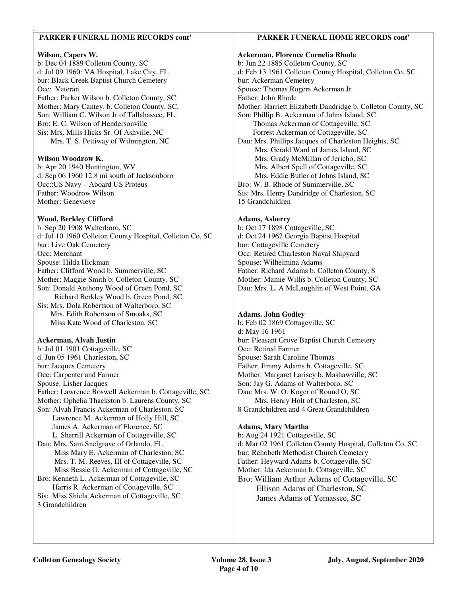## **PARKER FUNERAL HOME RECORDS cont'**

#### **Wilson, Capers W.**

.

b: Dec 04 1889 Colleton County, SC d: Jul 09 1960: VA Hospital, Lake City, FL bur: Black Creek Baptist Church Cemetery Occ: Veteran Father: Parker Wilson b. Colleton County, SC Mother: Mary Cantey. b. Colleton County, SC, Son: William C. Wilson Jr of Tallahassee, FL. Bro: E. C. Wilson of Hendersonville Sis: Mrs. Mills Hicks Sr. Of Ashville, NC Mrs. T. S. Pettiway of Wilmington, NC

#### **Wilson Woodrow K.**

b: Apr 20 1940 Huntington, WV d: Sep 06 1960 12.8 mi south of Jacksonboro Occ::US Navy – Aboard US Proteus Father: Woodrow Wilson Mother: Genevieve

#### **Wood, Berkley Clifford**

b. Sep 20 1908 Walterboro, SC d: Jul 10 1960 Colleton County Hospital, Colleton Co, SC bur: Live Oak Cemetery Occ: Merchant Spouse: Hilda Hickman Father: Clifford Wood b. Summerville, SC Mother: Maggie Smith b: Colleton County, SC Son: Donald Anthony Wood of Green Pond, SC Richard Berkley Wood b. Green Pond, SC Sis: Mrs. Dola Robertson of Walterboro, SC Mrs. Edith Robertson of Smoaks, SC Miss Kate Wood of Charleston, SC

### **Ackerman, Alvah Justin**

b: Jul 01 1901 Cottageville, SC d. Jun 05 1961 Charleston, SC bur: Jacques Cemetery Occ: Carpenter and Farmer Spouse: Lisher Jacques Father: Lawrence Boswell Ackerman b. Cottageville, SC Mother: Ophelia Thackston b. Laurens County, SC Son: Alvah Francis Ackerman of Charleston, SC Lawrence M. Ackerman of Holly Hill, SC James A. Ackerman of Florence, SC L. Sherrill Ackerman of Cottageville, SC Dau: Mrs. Sam Snelgrove of Orlando, FL Miss Mary E. Ackerman of Charleston, SC Mrs. T. M. Reeves, III of Cottageville, SC Miss Bessie O. Ackerman of Cottageville, SC Bro: Kenneth L. Ackerman of Cottageville, SC Harris R. Ackerman of Cottageville, SC Sis: Miss Shiela Ackerman of Cottageville, SC 3 Grandchildren

#### **PARKER FUNERAL HOME RECORDS cont'**

#### **Ackerman, Florence Cornelia Rhode**  b: Jun 22 1885 Colleton County, SC d: Feb 13 1961 Colleton County Hospital, Colleton Co, SC bur: Ackerman Cemetery Spouse: Thomas Rogers Ackerman Jr Father: John Rhode Mother: Harriett Elizabeth Dandridge b. Colleton County, SC Son: Phillip B. Ackerman of Johns Island, SC Thomas Ackerman of Cottageville, SC Forrest Ackerman of Cottageville, SC. Dau: Mrs. Phillips Jacques of Charleston Heights, SC Mrs. Gerald Ward of James Island, SC Mrs. Grady McMillan of Jericho, SC Mrs. Albert Spell of Cottageville, SC Mrs. Eddie Butler of Johns Island, SC Bro: W. B. Rhode of Summerville, SC Sis: Mrs. Henry Dandridge of Charleston, SC 15 Grandchildren

#### **Adams, Asberry**

b: Oct 17 1898 Cottageville, SC d: Oct 24 1962 Georgia Baptist Hospital bur: Cottageville Cemetery Occ: Retired Charleston Naval Shipyard Spouse: Wilhelmina Adams Father: Richard Adams b. Colleton County, S Mother: Mamie Willis b. Colleton County, SC Dau: Mrs. L. A McLaughlin of West Point, GA

## **Adams. John Godley**

b: Feb 02 1869 Cottageville, SC d: May 16 1961 bur: Pleasant Grove Baptist Church Cemetery Occ: Retired Farmer Spouse: Sarah Caroline Thomas Father: Jimmy Adams b. Cottageville, SC Mother: Margaret Larisey b. Mashawville, SC Son: Jay G. Adams of Walterboro, SC Dau: Mrs. W. O. Koger of Round O, SC Mrs. Henry Holt of Charleston, SC 8 Grandchildren and 4 Great Grandchildren

#### **Adams, Mary Martha**

b: Aug 24 1921 Cottageville, SC d: Mar 02 1961 Colleton County Hospital, Colleton Co, SC bur: Rehobeth Methodist Church Cemetery Father: Heyward Adams b. Cottageville, SC Mother: Ida Ackerman b. Cottageville, SC Bro: William Arthur Adams of Cottageville, SC Ellison Adams of Charleston, SC James Adams of Yemassee, SC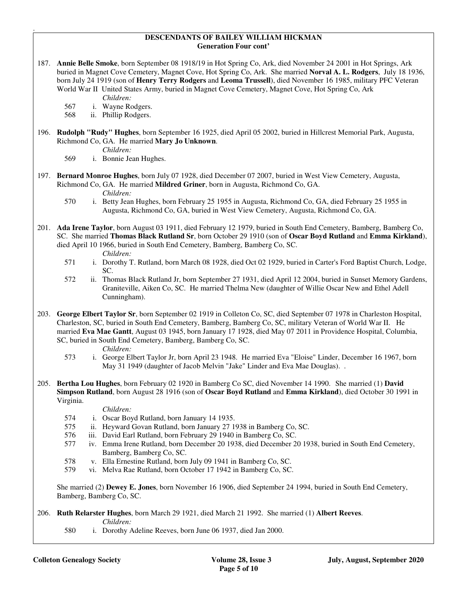#### **DESCENDANTS OF BAILEY WILLIAM HICKMAN Generation Four cont'**

187. **Annie Belle Smoke**, born September 08 1918/19 in Hot Spring Co, Ark, died November 24 2001 in Hot Springs, Ark buried in Magnet Cove Cemetery, Magnet Cove, Hot Spring Co, Ark. She married **Norval A. L. Rodgers**, July 18 1936, born July 24 1919 (son of **Henry Terry Rodgers** and **Leoma Trussell**), died November 16 1985, military PFC Veteran World War II United States Army, buried in Magnet Cove Cemetery, Magnet Cove, Hot Spring Co, Ark

*Children:*

567 i. Wayne Rodgers.

568 ii. Phillip Rodgers.

196. **Rudolph "Rudy" Hughes**, born September 16 1925, died April 05 2002, buried in Hillcrest Memorial Park, Augusta, Richmond Co, GA. He married **Mary Jo Unknown**.

*Children:*

.

569 i. Bonnie Jean Hughes.

- 197. **Bernard Monroe Hughes**, born July 07 1928, died December 07 2007, buried in West View Cemetery, Augusta, Richmond Co, GA. He married **Mildred Griner**, born in Augusta, Richmond Co, GA. *Children:*
	- 570 i. Betty Jean Hughes, born February 25 1955 in Augusta, Richmond Co, GA, died February 25 1955 in Augusta, Richmond Co, GA, buried in West View Cemetery, Augusta, Richmond Co, GA.
- 201. **Ada Irene Taylor**, born August 03 1911, died February 12 1979, buried in South End Cemetery, Bamberg, Bamberg Co, SC. She married **Thomas Black Rutland Sr**, born October 29 1910 (son of **Oscar Boyd Rutland** and **Emma Kirkland**), died April 10 1966, buried in South End Cemetery, Bamberg, Bamberg Co, SC.

*Children:* 

- 571 i. Dorothy T. Rutland, born March 08 1928, died Oct 02 1929, buried in Carter's Ford Baptist Church, Lodge, SC.
- 572 ii. Thomas Black Rutland Jr, born September 27 1931, died April 12 2004, buried in Sunset Memory Gardens, Graniteville, Aiken Co, SC. He married Thelma New (daughter of Willie Oscar New and Ethel Adell Cunningham).
- 203. **George Elbert Taylor Sr**, born September 02 1919 in Colleton Co, SC, died September 07 1978 in Charleston Hospital, Charleston, SC, buried in South End Cemetery, Bamberg, Bamberg Co, SC, military Veteran of World War II. He married **Eva Mae Gantt**, August 03 1945, born January 17 1928, died May 07 2011 in Providence Hospital, Columbia, SC, buried in South End Cemetery, Bamberg, Bamberg Co, SC.

*Children:*

- 573 i. George Elbert Taylor Jr, born April 23 1948. He married Eva "Eloise" Linder, December 16 1967, born May 31 1949 (daughter of Jacob Melvin "Jake" Linder and Eva Mae Douglas). .
- 205. **Bertha Lou Hughes**, born February 02 1920 in Bamberg Co SC, died November 14 1990. She married (1) **David Simpson Rutland**, born August 28 1916 (son of **Oscar Boyd Rutland** and **Emma Kirkland**), died October 30 1991 in Virginia.

#### *Children:*

- 574 i. Oscar Boyd Rutland, born January 14 1935.<br>575 ii. Heyward Govan Rutland, born January 27 1
- ii. Heyward Govan Rutland, born January 27 1938 in Bamberg Co, SC.
- 576 iii. David Earl Rutland, born February 29 1940 in Bamberg Co, SC.
- 577 iv. Emma Irene Rutland, born December 20 1938, died December 20 1938, buried in South End Cemetery, Bamberg, Bamberg Co, SC.
- 578 v. Ella Ernestine Rutland, born July 09 1941 in Bamberg Co, SC.
- 579 vi. Melva Rae Rutland, born October 17 1942 in Bamberg Co, SC.

 She married (2) **Dewey E. Jones**, born November 16 1906, died September 24 1994, buried in South End Cemetery, Bamberg, Bamberg Co, SC.

- 206. **Ruth Relarster Hughes**, born March 29 1921, died March 21 1992. She married (1) **Albert Reeves**. *Children:*
	- 580 i. Dorothy Adeline Reeves, born June 06 1937, died Jan 2000.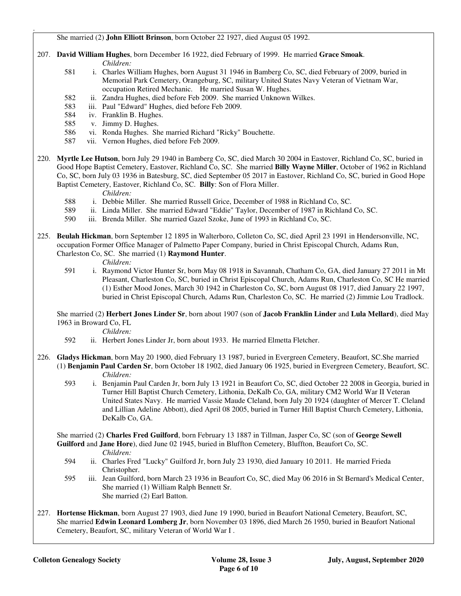She married (2) **John Elliott Brinson**, born October 22 1927, died August 05 1992.

- 207. **David William Hughes**, born December 16 1922, died February of 1999. He married **Grace Smoak**. *Children:*
	- 581 i. Charles William Hughes, born August 31 1946 in Bamberg Co, SC, died February of 2009, buried in Memorial Park Cemetery, Orangeburg, SC, military United States Navy Veteran of Vietnam War, occupation Retired Mechanic. He married Susan W. Hughes.
	- 582 ii. Zandra Hughes, died before Feb 2009. She married Unknown Wilkes.
	- 583 iii. Paul "Edward" Hughes, died before Feb 2009.
	- 584 iv. Franklin B. Hughes.
	- 585 v. Jimmy D. Hughes.

.

- 586 vi. Ronda Hughes. She married Richard "Ricky" Bouchette.
- 587 vii. Vernon Hughes, died before Feb 2009.
- 220. **Myrtle Lee Hutson**, born July 29 1940 in Bamberg Co, SC, died March 30 2004 in Eastover, Richland Co, SC, buried in Good Hope Baptist Cemetery, Eastover, Richland Co, SC. She married **Billy Wayne Miller**, October of 1962 in Richland Co, SC, born July 03 1936 in Batesburg, SC, died September 05 2017 in Eastover, Richland Co, SC, buried in Good Hope Baptist Cemetery, Eastover, Richland Co, SC. **Billy**: Son of Flora Miller.

*Children:*

- 588 i. Debbie Miller. She married Russell Grice, December of 1988 in Richland Co, SC.
- 589 ii. Linda Miller. She married Edward "Eddie" Taylor, December of 1987 in Richland Co, SC.<br>590 iii. Brenda Miller. She married Gazel Szoke. June of 1993 in Richland Co, SC.
- iii. Brenda Miller. She married Gazel Szoke, June of 1993 in Richland Co, SC.
- 225. **Beulah Hickman**, born September 12 1895 in Walterboro, Colleton Co, SC, died April 23 1991 in Hendersonville, NC, occupation Former Office Manager of Palmetto Paper Company, buried in Christ Episcopal Church, Adams Run, Charleston Co, SC. She married (1) **Raymond Hunter**.
	-
	- *Children:*<br>591 *i.* Raymond i. Raymond Victor Hunter Sr, born May 08 1918 in Savannah, Chatham Co, GA, died January 27 2011 in Mt Pleasant, Charleston Co, SC, buried in Christ Episcopal Church, Adams Run, Charleston Co, SC He married (1) Esther Mood Jones, March 30 1942 in Charleston Co, SC, born August 08 1917, died January 22 1997, buried in Christ Episcopal Church, Adams Run, Charleston Co, SC. He married (2) Jimmie Lou Tradlock.

 She married (2) **Herbert Jones Linder Sr**, born about 1907 (son of **Jacob Franklin Linder** and **Lula Mellard**), died May 1963 in Broward Co, FL

*Children:*

- 592 ii. Herbert Jones Linder Jr, born about 1933. He married Elmetta Fletcher.
- 226. **Gladys Hickman**, born May 20 1900, died February 13 1987, buried in Evergreen Cemetery, Beaufort, SC.She married (1) **Benjamin Paul Carden Sr**, born October 18 1902, died January 06 1925, buried in Evergreen Cemetery, Beaufort, SC. *Children:*
	- 593 i. Benjamin Paul Carden Jr, born July 13 1921 in Beaufort Co, SC, died October 22 2008 in Georgia, buried in Turner Hill Baptist Church Cemetery, Lithonia, DeKalb Co, GA, military CM2 World War II Veteran United States Navy. He married Vassie Maude Cleland, born July 20 1924 (daughter of Mercer T. Cleland and Lillian Adeline Abbott), died April 08 2005, buried in Turner Hill Baptist Church Cemetery, Lithonia, DeKalb Co, GA.

 She married (2) **Charles Fred Guilford**, born February 13 1887 in Tillman, Jasper Co, SC (son of **George Sewell Guilford** and **Jane Hore**), died June 02 1945, buried in Bluffton Cemetery, Bluffton, Beaufort Co, SC.

- *Children:*
- 594 ii. Charles Fred "Lucky" Guilford Jr, born July 23 1930, died January 10 2011. He married Frieda Christopher.
- 595 iii. Jean Guilford, born March 23 1936 in Beaufort Co, SC, died May 06 2016 in St Bernard's Medical Center, She married (1) William Ralph Bennett Sr. She married (2) Earl Batton.
- 227. **Hortense Hickman**, born August 27 1903, died June 19 1990, buried in Beaufort National Cemetery, Beaufort, SC, She married **Edwin Leonard Lomberg Jr**, born November 03 1896, died March 26 1950, buried in Beaufort National Cemetery, Beaufort, SC, military Veteran of World War I .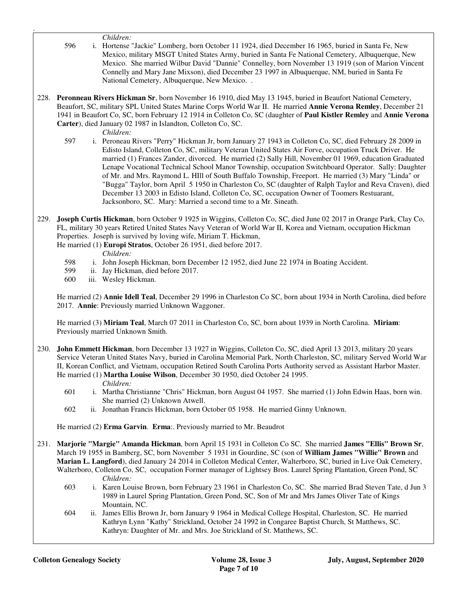*Children:*

.

- 596 i. Hortense "Jackie" Lomberg, born October 11 1924, died December 16 1965, buried in Santa Fe, New Mexico, military MSGT United States Army, buried in Santa Fe National Cemetery, Albuquerque, New Mexico. She married Wilbur David "Dannie" Connelley, born November 13 1919 (son of Marion Vincent Connelly and Mary Jane Mixson), died December 23 1997 in Albuquerque, NM, buried in Santa Fe National Cemetery, Albuquerque, New Mexico. .
- 228. **Peronneau Rivers Hickman Sr**, born November 16 1910, died May 13 1945, buried in Beaufort National Cemetery, Beaufort, SC, military SPL United States Marine Corps World War II. He married **Annie Verona Remley**, December 21 1941 in Beaufort Co, SC, born February 12 1914 in Colleton Co, SC (daughter of **Paul Kistler Remley** and **Annie Verona Carter**), died January 02 1987 in Islandton, Colleton Co, SC.

- *Children:*<br>597 *i.* Peroneau 597 i. Peroneau Rivers "Perry" Hickman Jr, born January 27 1943 in Colleton Co, SC, died February 28 2009 in Edisto Island, Colleton Co, SC, military Veteran United States Air Forve, occupation Truck Driver. He married (1) Frances Zander, divorced. He married (2) Sally Hill, November 01 1969, education Graduated Lenape Vocational Technical School Manor Township, occupation Switchboard Operator. Sally: Daughter of Mr. and Mrs. Raymond L. HIll of South Buffalo Township, Freeport. He married (3) Mary "Linda" or "Bugga" Taylor, born April 5 1950 in Charleston Co, SC (daughter of Ralph Taylor and Reva Craven), died December 13 2003 in Edisto Island, Colleton Co, SC, occupation Owner of Toomers Restuarant, Jacksonboro, SC. Mary: Married a second time to a Mr. Sineath.
- 229. **Joseph Curtis Hickman**, born October 9 1925 in Wiggins, Colleton Co, SC, died June 02 2017 in Orange Park, Clay Co, FL, military 30 years Retired United States Navy Veteran of World War II, Korea and Vietnam, occupation Hickman Properties. Joseph is survived by loving wife, Miriam T. Hickman,

He married (1) **Europi Stratos**, October 26 1951, died before 2017.

*Children:*

- 598 i. John Joseph Hickman, born December 12 1952, died June 22 1974 in Boating Accident.<br>599 ii. Jav Hickman, died before 2017.
- ii. Jay Hickman, died before 2017.
- 600 iii. Wesley Hickman.

 He married (2) **Annie Idell Teal**, December 29 1996 in Charleston Co SC, born about 1934 in North Carolina, died before 2017. **Annie**: Previously married Unknown Waggoner.

 He married (3) **Miriam Teal**, March 07 2011 in Charleston Co, SC, born about 1939 in North Carolina. **Miriam**: Previously married Unknown Smith.

230. **John Emmett Hickman**, born December 13 1927 in Wiggins, Colleton Co, SC, died April 13 2013, military 20 years Service Veteran United States Navy, buried in Carolina Memorial Park, North Charleston, SC, military Served World War II, Korean Conflict, and Vietnam, occupation Retired South Carolina Ports Authority served as Assistant Harbor Master. He married (1) **Martha Louise Wilson**, December 30 1950, died October 24 1995.

#### *Children:*

- 601 i. Martha Christianne "Chris" Hickman, born August 04 1957. She married (1) John Edwin Haas, born win. She married (2) Unknown Atwell.
- 602 ii. Jonathan Francis Hickman, born October 05 1958. He married Ginny Unknown.

He married (2) **Erma Garvin**. **Erma**:. Previously married to Mr. Beaudrot

- 231. **Marjorie "Margie" Amanda Hickman**, born April 15 1931 in Colleton Co SC. She married **James "Ellis" Brown Sr**, March 19 1955 in Bamberg, SC, born November 5 1931 in Gourdine, SC (son of **William James "Willie" Brown** and **Marian L. Langford**), died January 24 2014 in Colleton Medical Center, Walterboro, SC, buried in Live Oak Cemetery, Walterboro, Colleton Co, SC, occupation Former manager of Lightsey Bros. Laurel Spring Plantation, Green Pond, SC *Children:*
	- 603 i. Karen Louise Brown, born February 23 1961 in Charleston Co, SC. She married Brad Steven Tate, d Jun 3 1989 in Laurel Spring Plantation, Green Pond, SC, Son of Mr and Mrs James Oliver Tate of Kings Mountain, NC.
	- 604 ii. James Ellis Brown Jr, born January 9 1964 in Medical College Hospital, Charleston, SC. He married Kathryn Lynn "Kathy" Strickland, October 24 1992 in Congaree Baptist Church, St Matthews, SC. Kathryn: Daughter of Mr. and Mrs. Joe Strickland of St. Matthews, SC.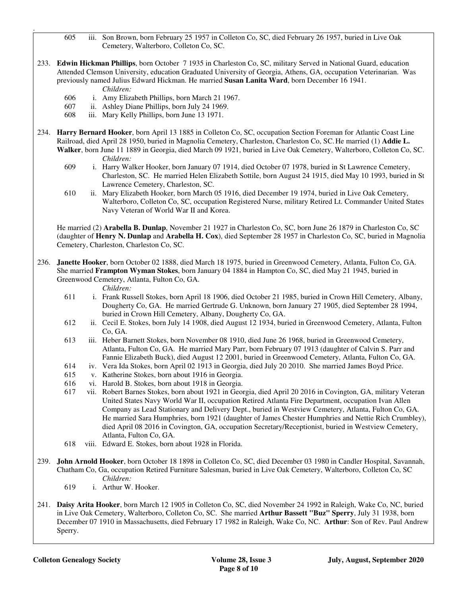605 iii. Son Brown, born February 25 1957 in Colleton Co, SC, died February 26 1957, buried in Live Oak Cemetery, Walterboro, Colleton Co, SC.

233. **Edwin Hickman Phillips**, born October 7 1935 in Charleston Co, SC, military Served in National Guard, education Attended Clemson University, education Graduated University of Georgia, Athens, GA, occupation Veterinarian. Was previously named Julius Edward Hickman. He married **Susan Lanita Ward**, born December 16 1941.

*Children:*

.

- 606 i. Amy Elizabeth Phillips, born March 21 1967.
- 607 ii. Ashley Diane Phillips, born July 24 1969.
- 608 iii. Mary Kelly Phillips, born June 13 1971.
- 234. **Harry Bernard Hooker**, born April 13 1885 in Colleton Co, SC, occupation Section Foreman for Atlantic Coast Line Railroad, died April 28 1950, buried in Magnolia Cemetery, Charleston, Charleston Co, SC. He married (1) **Addie L. Walker**, born June 11 1889 in Georgia, died March 09 1921, buried in Live Oak Cemetery, Walterboro, Colleton Co, SC. *Children:*
	- 609 i. Harry Walker Hooker, born January 07 1914, died October 07 1978, buried in St Lawrence Cemetery, Charleston, SC. He married Helen Elizabeth Sottile, born August 24 1915, died May 10 1993, buried in St Lawrence Cemetery, Charleston, SC.
	- 610 ii. Mary Elizabeth Hooker, born March 05 1916, died December 19 1974, buried in Live Oak Cemetery, Walterboro, Colleton Co, SC, occupation Registered Nurse, military Retired Lt. Commander United States Navy Veteran of World War II and Korea.

 He married (2) **Arabella B. Dunlap**, November 21 1927 in Charleston Co, SC, born June 26 1879 in Charleston Co, SC (daughter of **Henry N. Dunlap** and **Arabella H. Cox**), died September 28 1957 in Charleston Co, SC, buried in Magnolia Cemetery, Charleston, Charleston Co, SC.

236. **Janette Hooker**, born October 02 1888, died March 18 1975, buried in Greenwood Cemetery, Atlanta, Fulton Co, GA. She married **Frampton Wyman Stokes**, born January 04 1884 in Hampton Co, SC, died May 21 1945, buried in Greenwood Cemetery, Atlanta, Fulton Co, GA.

*Children:*

- 611 i. Frank Russell Stokes, born April 18 1906, died October 21 1985, buried in Crown Hill Cemetery, Albany, Dougherty Co, GA. He married Gertrude G. Unknown, born January 27 1905, died September 28 1994, buried in Crown Hill Cemetery, Albany, Dougherty Co, GA.
- 612 ii. Cecil E. Stokes, born July 14 1908, died August 12 1934, buried in Greenwood Cemetery, Atlanta, Fulton Co, GA.
- 613 iii. Heber Barnett Stokes, born November 08 1910, died June 26 1968, buried in Greenwood Cemetery, Atlanta, Fulton Co, GA. He married Mary Parr, born February 07 1913 (daughter of Calvin S. Parr and Fannie Elizabeth Buck), died August 12 2001, buried in Greenwood Cemetery, Atlanta, Fulton Co, GA.
- 614 iv. Vera Ida Stokes, born April 02 1913 in Georgia, died July 20 2010. She married James Boyd Price.
- 615 v. Katherine Stokes, born about 1916 in Georgia.
- 616 vi. Harold B. Stokes, born about 1918 in Georgia.
- 617 vii. Robert Barnes Stokes, born about 1921 in Georgia, died April 20 2016 in Covington, GA, military Veteran United States Navy World War II, occupation Retired Atlanta Fire Department, occupation Ivan Allen Company as Lead Stationary and Delivery Dept., buried in Westview Cemetery, Atlanta, Fulton Co, GA. He married Sara Humphries, born 1921 (daughter of James Chester Humphries and Nettie Rich Crumbley), died April 08 2016 in Covington, GA, occupation Secretary/Receptionist, buried in Westview Cemetery, Atlanta, Fulton Co, GA.
- 618 viii. Edward E. Stokes, born about 1928 in Florida.
- 239. **John Arnold Hooker**, born October 18 1898 in Colleton Co, SC, died December 03 1980 in Candler Hospital, Savannah, Chatham Co, Ga, occupation Retired Furniture Salesman, buried in Live Oak Cemetery, Walterboro, Colleton Co, SC *Children:*
	- 619 i. Arthur W. Hooker.
- 241. **Daisy Arita Hooker**, born March 12 1905 in Colleton Co, SC, died November 24 1992 in Raleigh, Wake Co, NC, buried in Live Oak Cemetery, Walterboro, Colleton Co, SC. She married **Arthur Bassett "Buz" Sperry**, July 31 1938, born December 07 1910 in Massachusetts, died February 17 1982 in Raleigh, Wake Co, NC. **Arthur**: Son of Rev. Paul Andrew Sperry.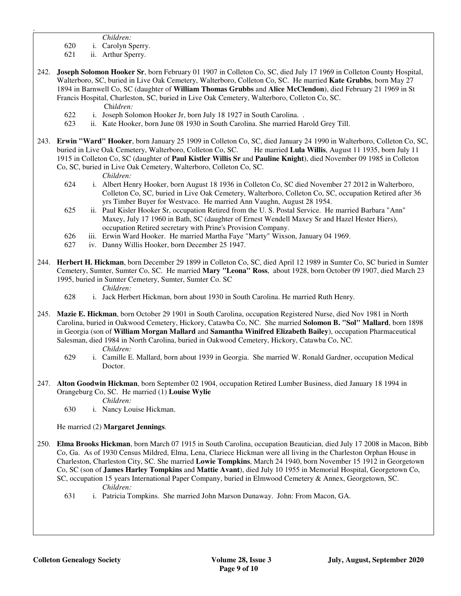- *Children:*
- 620 i. Carolyn Sperry.
- 621 ii. Arthur Sperry.

.

- 242. **Joseph Solomon Hooker Sr**, born February 01 1907 in Colleton Co, SC, died July 17 1969 in Colleton County Hospital, Walterboro, SC, buried in Live Oak Cemetery, Walterboro, Colleton Co, SC. He married **Kate Grubbs**, born May 27 1894 in Barnwell Co, SC (daughter of **William Thomas Grubbs** and **Alice McClendon**), died February 21 1969 in St Francis Hospital, Charleston, SC, buried in Live Oak Cemetery, Walterboro, Colleton Co, SC. Chi*ldren:*
	- 622 i. Joseph Solomon Hooker Jr, born July 18 1927 in South Carolina. .
	- 623 ii. Kate Hooker, born June 08 1930 in South Carolina. She married Harold Grey Till.
- 243. **Erwin "Ward" Hooker**, born January 25 1909 in Colleton Co, SC, died January 24 1990 in Walterboro, Colleton Co, SC, buried in Live Oak Cemetery, Walterboro, Colleton Co, SC. He married **Lula Willis**, August 11 1935, born July 11 1915 in Colleton Co, SC (daughter of **Paul Kistler Willis Sr** and **Pauline Knight**), died November 09 1985 in Colleton Co, SC, buried in Live Oak Cemetery, Walterboro, Colleton Co, SC.

*Children:*

- 624 i. Albert Henry Hooker, born August 18 1936 in Colleton Co, SC died November 27 2012 in Walterboro, Colleton Co, SC, buried in Live Oak Cemetery, Walterboro, Colleton Co, SC, occupation Retired after 36 yrs Timber Buyer for Westvaco. He married Ann Vaughn, August 28 1954.
- 625 ii. Paul Kisler Hooker Sr, occupation Retired from the U. S. Postal Service. He married Barbara "Ann" Maxey, July 17 1960 in Bath, SC (daughter of Ernest Wendell Maxey Sr and Hazel Hester Hiers), occupation Retired secretary with Prine's Provision Company.
- 626 iii. Erwin Ward Hooker. He married Martha Faye "Marty" Wixson, January 04 1969.
- 627 iv. Danny Willis Hooker, born December 25 1947.
- 244. **Herbert H. Hickman**, born December 29 1899 in Colleton Co, SC, died April 12 1989 in Sumter Co, SC buried in Sumter Cemetery, Sumter, Sumter Co, SC. He married **Mary "Leona" Ross**, about 1928, born October 09 1907, died March 23 1995, buried in Sumter Cemetery, Sumter, Sumter Co. SC
	- *Children:*
	- 628 i. Jack Herbert Hickman, born about 1930 in South Carolina. He married Ruth Henry.
- 245. **Mazie E. Hickman**, born October 29 1901 in South Carolina, occupation Registered Nurse, died Nov 1981 in North Carolina, buried in Oakwood Cemetery, Hickory, Catawba Co, NC. She married **Solomon B. "Sol" Mallard**, born 1898 in Georgia (son of **William Morgan Mallard** and **Samantha Winifred Elizabeth Bailey**), occupation Pharmaceutical Salesman, died 1984 in North Carolina, buried in Oakwood Cemetery, Hickory, Catawba Co, NC. *Children:*
	- 629 i. Camille E. Mallard, born about 1939 in Georgia. She married W. Ronald Gardner, occupation Medical Doctor.
- 247. **Alton Goodwin Hickman**, born September 02 1904, occupation Retired Lumber Business, died January 18 1994 in Orangeburg Co, SC. He married (1) **Louise Wylie**

*Children:*

630 i. Nancy Louise Hickman.

He married (2) **Margaret Jennings**.

- 250. **Elma Brooks Hickman**, born March 07 1915 in South Carolina, occupation Beautician, died July 17 2008 in Macon, Bibb Co, Ga. As of 1930 Census Mildred, Elma, Lena, Clariece Hickman were all living in the Charleston Orphan House in Charleston, Charleston City, SC. She married **Lowie Tompkins**, March 24 1940, born November 15 1912 in Georgetown Co, SC (son of **James Harley Tompkins** and **Mattie Avant**), died July 10 1955 in Memorial Hospital, Georgetown Co, SC, occupation 15 years International Paper Company, buried in Elmwood Cemetery & Annex, Georgetown, SC. *Children:*
	- 631 i. Patricia Tompkins. She married John Marson Dunaway. John: From Macon, GA.